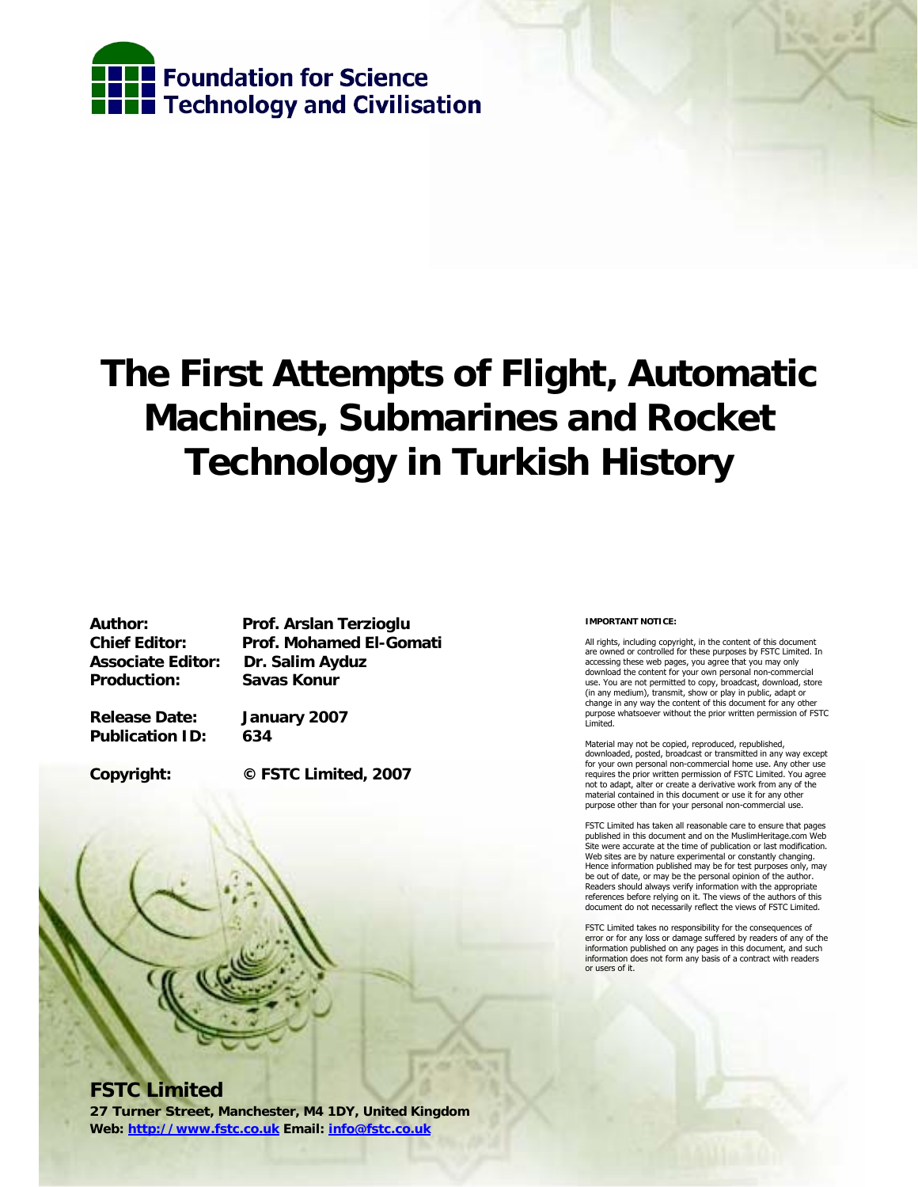

## **The First Attempts of Flight, Automatic Machines, Submarines and Rocket Technology in Turkish History**

**Associate Editor: Dr. Salim Ayduz Production: Savas Konur** 

**Author: Prof. Arslan Terzioglu Chief Editor: Prof. Mohamed El-Gomati** 

**Release Date: January 2007 Publication ID: 634** 

**Copyright: © FSTC Limited, 2007** 

# **FSTC Limited**

**27 Turner Street, Manchester, M4 1DY, United Kingdom Web: http://www.fstc.co.uk Email: info@fstc.co.uk**

#### **IMPORTANT NOTICE:**

All rights, including copyright, in the content of this document are owned or controlled for these purposes by FSTC Limited. In accessing these web pages, you agree that you may only download the content for your own personal non-commercial use. You are not permitted to copy, broadcast, download, store (in any medium), transmit, show or play in public, adapt or change in any way the content of this document for any other purpose whatsoever without the prior written permission of FSTC Limited.

Material may not be copied, reproduced, republished, downloaded, posted, broadcast or transmitted in any way except for your own personal non-commercial home use. Any other use requires the prior written permission of FSTC Limited. You agree not to adapt, alter or create a derivative work from any of the material contained in this document or use it for any other purpose other than for your personal non-commercial use.

FSTC Limited has taken all reasonable care to ensure that pages published in this document and on the MuslimHeritage.com Web Site were accurate at the time of publication or last modification. Web sites are by nature experimental or constantly changing. Hence information published may be for test purposes only, may be out of date, or may be the personal opinion of the author. Readers should always verify information with the appropriate references before relying on it. The views of the authors of this document do not necessarily reflect the views of FSTC Limited.

FSTC Limited takes no responsibility for the consequences of error or for any loss or damage suffered by readers of any of the information published on any pages in this document, and such information does not form any basis of a contract with readers or users of it.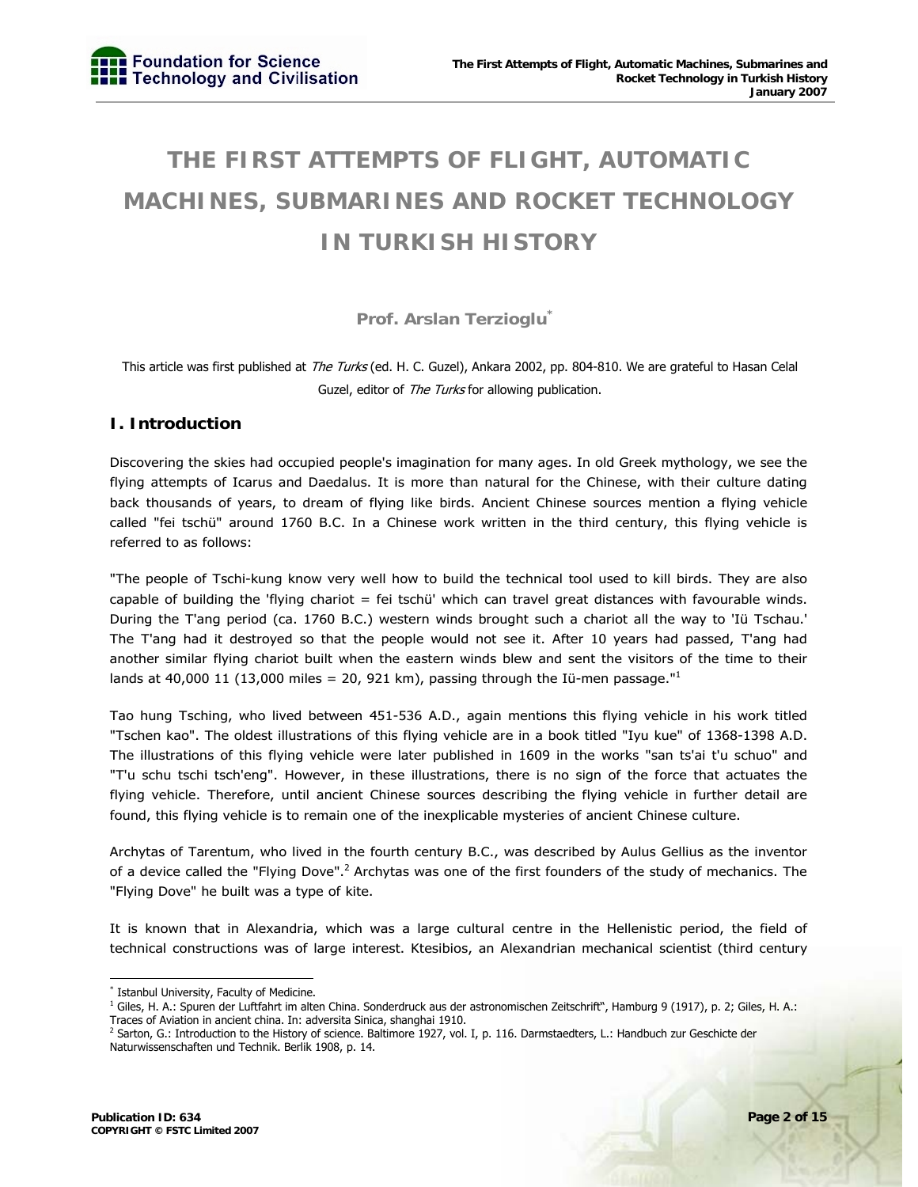### **THE FIRST ATTEMPTS OF FLIGHT, AUTOMATIC MACHINES, SUBMARINES AND ROCKET TECHNOLOGY IN TURKISH HISTORY**

**Prof. Arslan Terzioglu\***

This article was first published at *The Turks* (ed. H. C. Guzel), Ankara 2002, pp. 804-810. We are grateful to Hasan Celal Guzel, editor of The Turks for allowing publication.

#### **I. Introduction**

Discovering the skies had occupied people's imagination for many ages. In old Greek mythology, we see the flying attempts of Icarus and Daedalus. It is more than natural for the Chinese, with their culture dating back thousands of years, to dream of flying like birds. Ancient Chinese sources mention a flying vehicle called "fei tschü" around 1760 B.C. In a Chinese work written in the third century, this flying vehicle is referred to as follows:

"The people of Tschi-kung know very well how to build the technical tool used to kill birds. They are also capable of building the 'flying chariot = fei tschü' which can travel great distances with favourable winds. During the T'ang period (ca. 1760 B.C.) western winds brought such a chariot all the way to 'Iü Tschau.' The T'ang had it destroyed so that the people would not see it. After 10 years had passed, T'ang had another similar flying chariot built when the eastern winds blew and sent the visitors of the time to their lands at 40,000 11 (13,000 miles = 20, 921 km), passing through the Iü-men passage."<sup>1</sup>

Tao hung Tsching, who lived between 451-536 A.D., again mentions this flying vehicle in his work titled "Tschen kao". The oldest illustrations of this flying vehicle are in a book titled "Iyu kue" of 1368-1398 A.D. The illustrations of this flying vehicle were later published in 1609 in the works "san ts'ai t'u schuo" and "T'u schu tschi tsch'eng". However, in these illustrations, there is no sign of the force that actuates the flying vehicle. Therefore, until ancient Chinese sources describing the flying vehicle in further detail are found, this flying vehicle is to remain one of the inexplicable mysteries of ancient Chinese culture.

Archytas of Tarentum, who lived in the fourth century B.C., was described by Aulus Gellius as the inventor of a device called the "Flying Dove".<sup>2</sup> Archytas was one of the first founders of the study of mechanics. The "Flying Dove" he built was a type of kite.

It is known that in Alexandria, which was a large cultural centre in the Hellenistic period, the field of technical constructions was of large interest. Ktesibios, an Alexandrian mechanical scientist (third century

<sup>-</sup>\* Istanbul University, Faculty of Medicine.

<sup>&</sup>lt;sup>1</sup> Giles, H. A.: Spuren der Luftfahrt im alten China. Sonderdruck aus der astronomischen Zeitschrift", Hamburg 9 (1917), p. 2; Giles, H. A.: Traces of Aviation in ancient china. In: adversita Sinica, shanghai 1910.

<sup>&</sup>lt;sup>2</sup> Sarton, G.: Introduction to the History of science. Baltimore 1927, vol. I, p. 116. Darmstaedters, L.: Handbuch zur Geschicte der Naturwissenschaften und Technik. Berlik 1908, p. 14.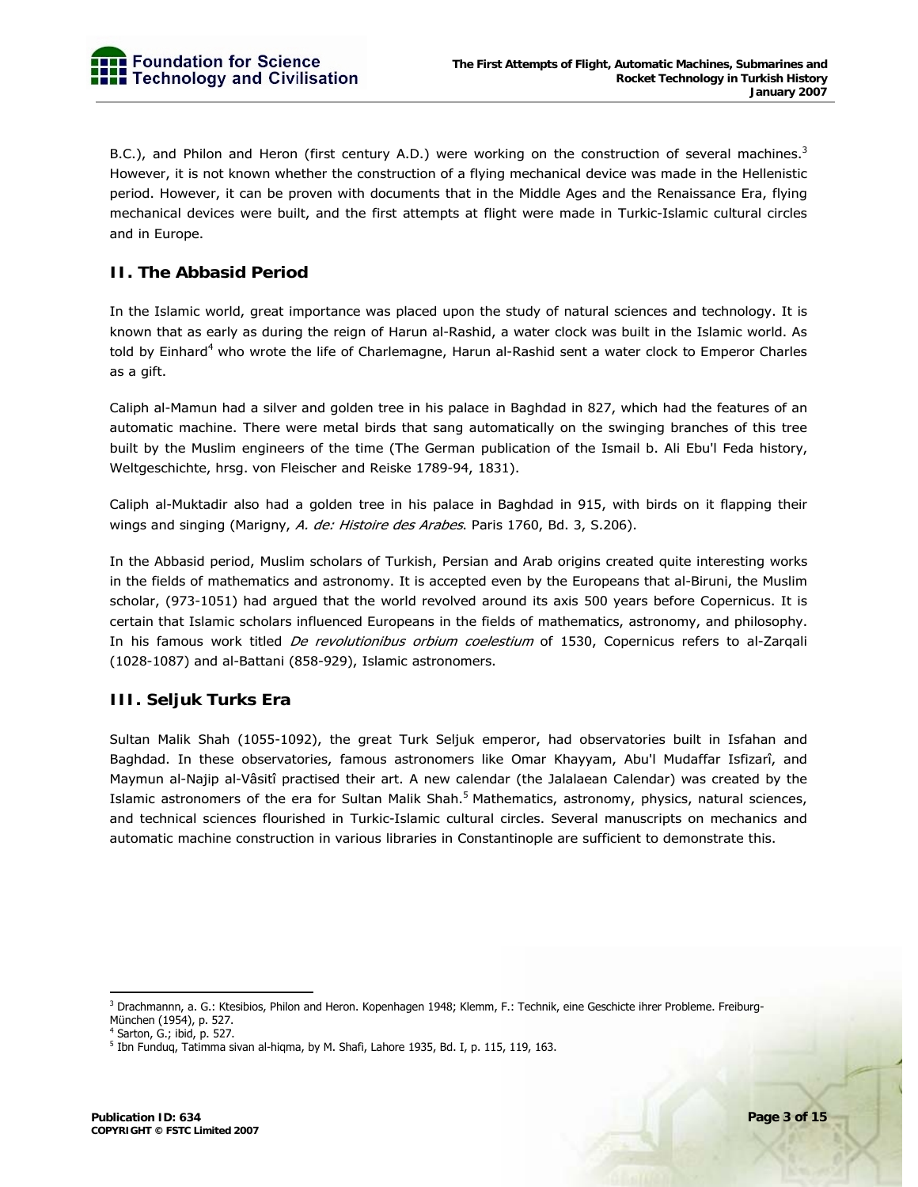B.C.), and Philon and Heron (first century A.D.) were working on the construction of several machines.<sup>3</sup> However, it is not known whether the construction of a flying mechanical device was made in the Hellenistic period. However, it can be proven with documents that in the Middle Ages and the Renaissance Era, flying mechanical devices were built, and the first attempts at flight were made in Turkic-Islamic cultural circles and in Europe.

#### **II. The Abbasid Period**

In the Islamic world, great importance was placed upon the study of natural sciences and technology. It is known that as early as during the reign of Harun al-Rashid, a water clock was built in the Islamic world. As told by Einhard<sup>4</sup> who wrote the life of Charlemagne, Harun al-Rashid sent a water clock to Emperor Charles as a gift.

Caliph al-Mamun had a silver and golden tree in his palace in Baghdad in 827, which had the features of an automatic machine. There were metal birds that sang automatically on the swinging branches of this tree built by the Muslim engineers of the time (The German publication of the Ismail b. Ali Ebu'l Feda history, Weltgeschichte, hrsg. von Fleischer and Reiske 1789-94, 1831).

Caliph al-Muktadir also had a golden tree in his palace in Baghdad in 915, with birds on it flapping their wings and singing (Marigny, A. de: Histoire des Arabes. Paris 1760, Bd. 3, S.206).

In the Abbasid period, Muslim scholars of Turkish, Persian and Arab origins created quite interesting works in the fields of mathematics and astronomy. It is accepted even by the Europeans that al-Biruni, the Muslim scholar, (973-1051) had argued that the world revolved around its axis 500 years before Copernicus. It is certain that Islamic scholars influenced Europeans in the fields of mathematics, astronomy, and philosophy. In his famous work titled De revolutionibus orbium coelestium of 1530, Copernicus refers to al-Zarqali (1028-1087) and al-Battani (858-929), Islamic astronomers.

#### **III. Seljuk Turks Era**

Sultan Malik Shah (1055-1092), the great Turk Seljuk emperor, had observatories built in Isfahan and Baghdad. In these observatories, famous astronomers like Omar Khayyam, Abu'l Mudaffar Isfizarî, and Maymun al-Najip al-Vâsitî practised their art. A new calendar (the Jalalaean Calendar) was created by the Islamic astronomers of the era for Sultan Malik Shah.<sup>5</sup> Mathematics, astronomy, physics, natural sciences, and technical sciences flourished in Turkic-Islamic cultural circles. Several manuscripts on mechanics and automatic machine construction in various libraries in Constantinople are sufficient to demonstrate this.

3 Drachmannn, a. G.: Ktesibios, Philon and Heron. Kopenhagen 1948; Klemm, F.: Technik, eine Geschicte ihrer Probleme. Freiburg-München (1954), p. 527.

<sup>4</sup> Sarton, G.; ibid, p. 527.

<sup>&</sup>lt;sup>5</sup> Ibn Funduq, Tatimma sivan al-hiqma, by M. Shafi, Lahore 1935, Bd. I, p. 115, 119, 163.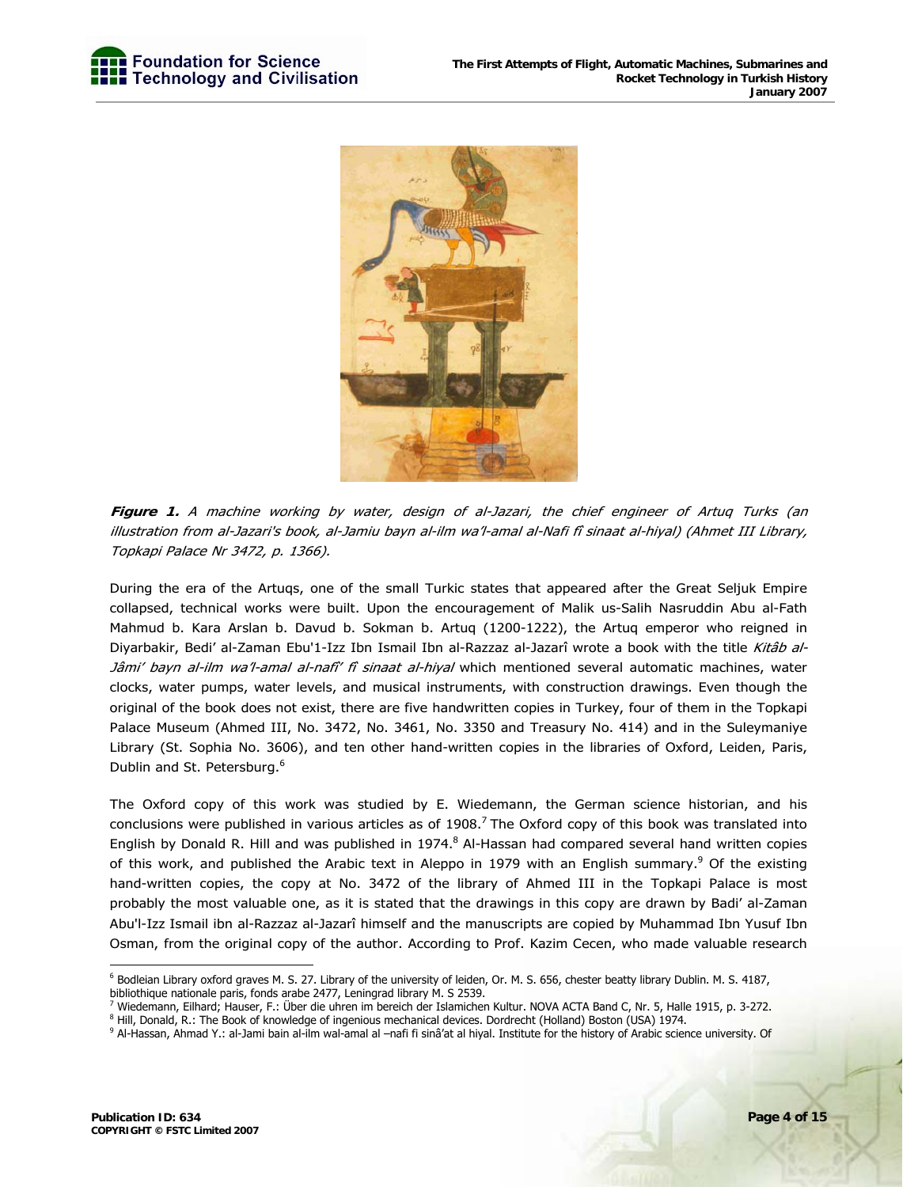

**Figure 1.** A machine working by water, design of al-Jazari, the chief engineer of Artuq Turks (an illustration from al-Jazari's book, al-Jamiu bayn al-ilm wa'l-amal al-Nafi fî sinaat al-hiyal) (Ahmet III Library, Topkapi Palace Nr 3472, p. 1366).

During the era of the Artuqs, one of the small Turkic states that appeared after the Great Seljuk Empire collapsed, technical works were built. Upon the encouragement of Malik us-Salih Nasruddin Abu al-Fath Mahmud b. Kara Arslan b. Davud b. Sokman b. Artuq (1200-1222), the Artuq emperor who reigned in Diyarbakir, Bedi' al-Zaman Ebu'1-Izz Ibn Ismail Ibn al-Razzaz al-Jazarî wrote a book with the title Kitâb al-Jâmi' bayn al-ilm wa'l-amal al-nafî' fî sinaat al-hiyal which mentioned several automatic machines, water clocks, water pumps, water levels, and musical instruments, with construction drawings. Even though the original of the book does not exist, there are five handwritten copies in Turkey, four of them in the Topkapi Palace Museum (Ahmed III, No. 3472, No. 3461, No. 3350 and Treasury No. 414) and in the Suleymaniye Library (St. Sophia No. 3606), and ten other hand-written copies in the libraries of Oxford, Leiden, Paris, Dublin and St. Petersburg.<sup>6</sup>

The Oxford copy of this work was studied by E. Wiedemann, the German science historian, and his conclusions were published in various articles as of  $1908<sup>7</sup>$  The Oxford copy of this book was translated into English by Donald R. Hill and was published in 1974.<sup>8</sup> Al-Hassan had compared several hand written copies of this work, and published the Arabic text in Aleppo in 1979 with an English summary.<sup>9</sup> Of the existing hand-written copies, the copy at No. 3472 of the library of Ahmed III in the Topkapi Palace is most probably the most valuable one, as it is stated that the drawings in this copy are drawn by Badi' al-Zaman Abu'l-Izz Ismail ibn al-Razzaz al-Jazarî himself and the manuscripts are copied by Muhammad Ibn Yusuf Ibn Osman, from the original copy of the author. According to Prof. Kazim Cecen, who made valuable research

<sup>-</sup><sup>6</sup> Bodleian Library oxford graves M. S. 27. Library of the university of leiden, Or. M. S. 656, chester beatty library Dublin. M. S. 4187, bibliothique nationale paris, fonds arabe 2477, Leningrad library M. S 2539.

<sup>&</sup>lt;sup>7</sup> Wiedemann, Eilhard; Hauser, F.: Über die uhren im bereich der Islamichen Kultur. NOVA ACTA Band C, Nr. 5, Halle 1915, p. 3-272.<br><sup>8</sup> Hill, Denald, B.: The Book of knowledge of ingenieur mechanical devices, Derdrecht (He

<sup>&</sup>lt;sup>8</sup> Hill, Donald, R.: The Book of knowledge of ingenious mechanical devices. Dordrecht (Holland) Boston (USA) 1974.

<sup>&</sup>lt;sup>9</sup> Al-Hassan, Ahmad Y.: al-Jami bain al-ilm wal-amal al –nafi fi sinâ'at al hiyal. Institute for the history of Arabic science university. Of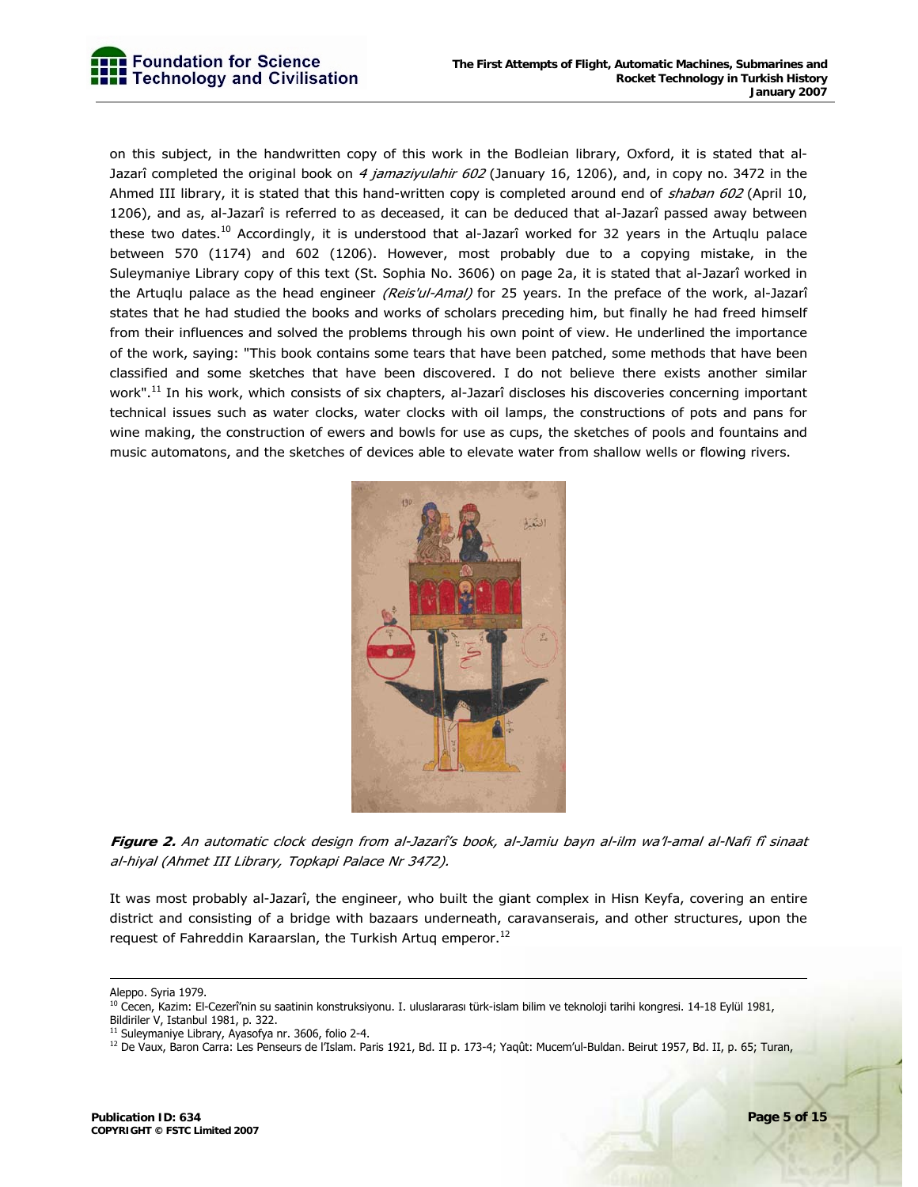on this subject, in the handwritten copy of this work in the Bodleian library, Oxford, it is stated that al-Jazarî completed the original book on 4 jamaziyulahir 602 (January 16, 1206), and, in copy no. 3472 in the Ahmed III library, it is stated that this hand-written copy is completed around end of shaban 602 (April 10, 1206), and as, al-Jazarî is referred to as deceased, it can be deduced that al-Jazarî passed away between these two dates.<sup>10</sup> Accordingly, it is understood that al-Jazarî worked for 32 years in the Artuglu palace between 570 (1174) and 602 (1206). However, most probably due to a copying mistake, in the Suleymaniye Library copy of this text (St. Sophia No. 3606) on page 2a, it is stated that al-Jazarî worked in the Artuqlu palace as the head engineer (Reis'ul-Amal) for 25 years. In the preface of the work, al-Jazarî states that he had studied the books and works of scholars preceding him, but finally he had freed himself from their influences and solved the problems through his own point of view. He underlined the importance of the work, saying: "This book contains some tears that have been patched, some methods that have been classified and some sketches that have been discovered. I do not believe there exists another similar work".<sup>11</sup> In his work, which consists of six chapters, al-Jazarî discloses his discoveries concerning important technical issues such as water clocks, water clocks with oil lamps, the constructions of pots and pans for wine making, the construction of ewers and bowls for use as cups, the sketches of pools and fountains and music automatons, and the sketches of devices able to elevate water from shallow wells or flowing rivers.



**Figure 2.** An automatic clock design from al-Jazarî's book, al-Jamiu bayn al-ilm wa'l-amal al-Nafi fî sinaat al-hiyal (Ahmet III Library, Topkapi Palace Nr 3472).

It was most probably al-Jazarî, the engineer, who built the giant complex in Hisn Keyfa, covering an entire district and consisting of a bridge with bazaars underneath, caravanserais, and other structures, upon the request of Fahreddin Karaarslan, the Turkish Artuq emperor.<sup>12</sup>

Aleppo. Syria 1979.

<sup>&</sup>lt;sup>10</sup> Cecen, Kazim: El-Cezerî'nin su saatinin konstruksiyonu. I. uluslararası türk-islam bilim ve teknoloji tarihi kongresi. 14-18 Eylül 1981, Bildiriler V, Istanbul 1981, p. 322.

<sup>&</sup>lt;sup>11</sup> Suleymaniye Library, Ayasofya nr. 3606, folio 2-4.

<sup>&</sup>lt;sup>12</sup> De Vaux, Baron Carra: Les Penseurs de l'Islam. Paris 1921, Bd. II p. 173-4; Yaqût: Mucem'ul-Buldan. Beirut 1957, Bd. II, p. 65; Turan,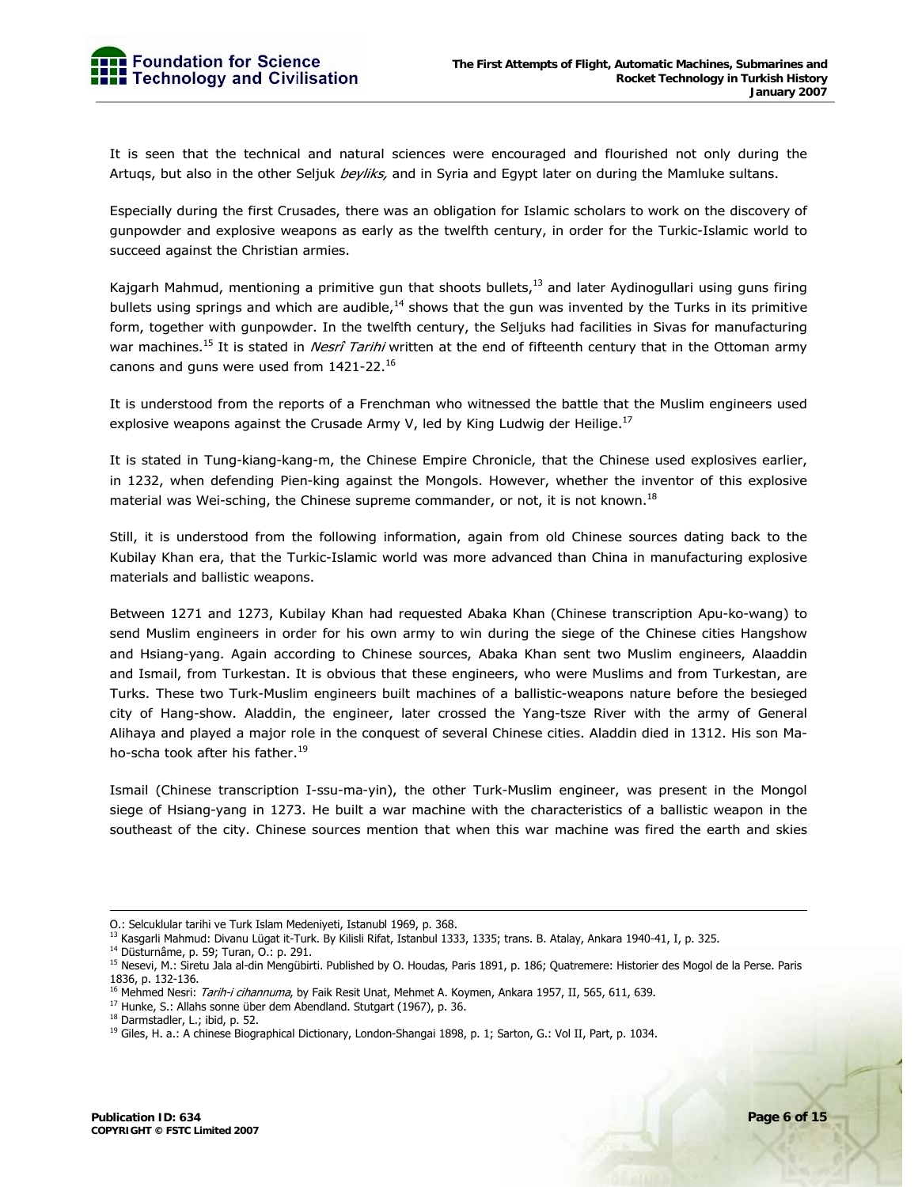It is seen that the technical and natural sciences were encouraged and flourished not only during the Artuqs, but also in the other Seljuk beyliks, and in Syria and Egypt later on during the Mamluke sultans.

Especially during the first Crusades, there was an obligation for Islamic scholars to work on the discovery of gunpowder and explosive weapons as early as the twelfth century, in order for the Turkic-Islamic world to succeed against the Christian armies.

Kajgarh Mahmud, mentioning a primitive gun that shoots bullets, $^{13}$  and later Aydinogullari using guns firing bullets using springs and which are audible,<sup>14</sup> shows that the gun was invented by the Turks in its primitive form, together with gunpowder. In the twelfth century, the Seljuks had facilities in Sivas for manufacturing war machines.<sup>15</sup> It is stated in *Nesrî Tarihi* written at the end of fifteenth century that in the Ottoman army canons and guns were used from  $1421-22$ .<sup>16</sup>

It is understood from the reports of a Frenchman who witnessed the battle that the Muslim engineers used explosive weapons against the Crusade Army V, led by King Ludwig der Heilige.<sup>17</sup>

It is stated in Tung-kiang-kang-m, the Chinese Empire Chronicle, that the Chinese used explosives earlier, in 1232, when defending Pien-king against the Mongols. However, whether the inventor of this explosive material was Wei-sching, the Chinese supreme commander, or not, it is not known.<sup>18</sup>

Still, it is understood from the following information, again from old Chinese sources dating back to the Kubilay Khan era, that the Turkic-Islamic world was more advanced than China in manufacturing explosive materials and ballistic weapons.

Between 1271 and 1273, Kubilay Khan had requested Abaka Khan (Chinese transcription Apu-ko-wang) to send Muslim engineers in order for his own army to win during the siege of the Chinese cities Hangshow and Hsiang-yang. Again according to Chinese sources, Abaka Khan sent two Muslim engineers, Alaaddin and Ismail, from Turkestan. It is obvious that these engineers, who were Muslims and from Turkestan, are Turks. These two Turk-Muslim engineers built machines of a ballistic-weapons nature before the besieged city of Hang-show. Aladdin, the engineer, later crossed the Yang-tsze River with the army of General Alihaya and played a major role in the conquest of several Chinese cities. Aladdin died in 1312. His son Maho-scha took after his father.<sup>19</sup>

Ismail (Chinese transcription I-ssu-ma-yin), the other Turk-Muslim engineer, was present in the Mongol siege of Hsiang-yang in 1273. He built a war machine with the characteristics of a ballistic weapon in the southeast of the city. Chinese sources mention that when this war machine was fired the earth and skies

O.: Selcuklular tarihi ve Turk Islam Medeniyeti, Istanubl 1969, p. 368.

<sup>&</sup>lt;sup>13</sup> Kasgarli Mahmud: Divanu Lügat it-Turk. By Kilisli Rifat, Istanbul 1333, 1335; trans. B. Atalay, Ankara 1940-41, I, p. 325.<br><sup>14</sup> Düsturnâme, p. 59; Turan, O.: p. 291.

<sup>&</sup>lt;sup>15</sup> Nesevi, M.: Siretu Jala al-din Mengübirti. Published by O. Houdas, Paris 1891, p. 186; Quatremere: Historier des Mogol de la Perse. Paris 1836, p. 132-136.

<sup>&</sup>lt;sup>16</sup> Mehmed Nesri: *Tarih-i cihannuma*, by Faik Resit Unat, Mehmet A. Koymen, Ankara 1957, II, 565, 611, 639.<br><sup>17</sup> Hunke, S.: Allahs sonne über dem Abendland. Stutgart (1967), p. 36.

<sup>18</sup> Darmstadler, L.; ibid, p. 52.

<sup>&</sup>lt;sup>19</sup> Giles, H. a.: A chinese Biographical Dictionary, London-Shangai 1898, p. 1; Sarton, G.: Vol II, Part, p. 1034.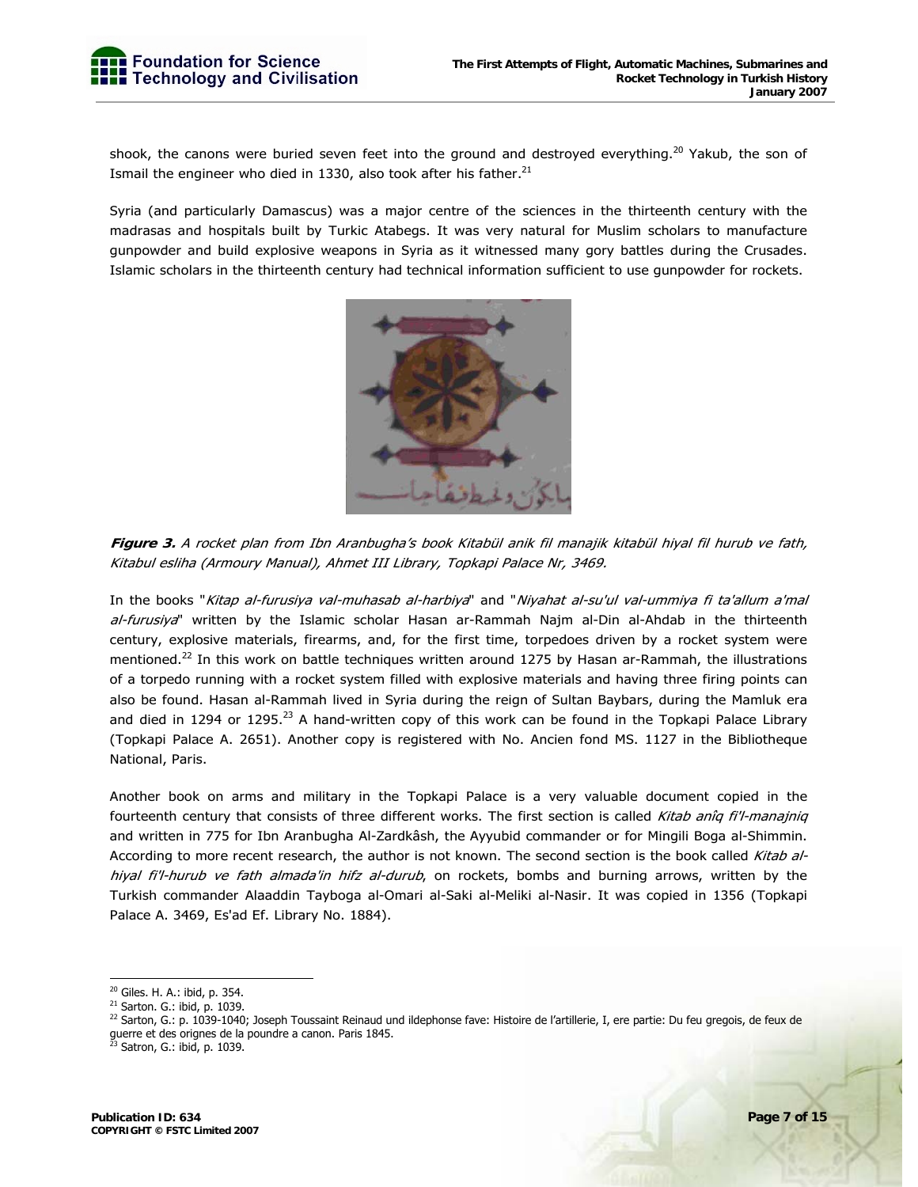shook, the canons were buried seven feet into the ground and destroyed everything.<sup>20</sup> Yakub, the son of Ismail the engineer who died in 1330, also took after his father. $^{21}$ 

Syria (and particularly Damascus) was a major centre of the sciences in the thirteenth century with the madrasas and hospitals built by Turkic Atabegs. It was very natural for Muslim scholars to manufacture gunpowder and build explosive weapons in Syria as it witnessed many gory battles during the Crusades. Islamic scholars in the thirteenth century had technical information sufficient to use gunpowder for rockets.



**Figure 3.** A rocket plan from Ibn Aranbugha's book Kitabül anik fil manajik kitabül hiyal fil hurub ve fath, Kitabul esliha (Armoury Manual), Ahmet III Library, Topkapi Palace Nr, 3469.

In the books "Kitap al-furusiya val-muhasab al-harbiya" and "Niyahat al-su'ul val-ummiya fi ta'allum a'mal al-furusiya" written by the Islamic scholar Hasan ar-Rammah Najm al-Din al-Ahdab in the thirteenth century, explosive materials, firearms, and, for the first time, torpedoes driven by a rocket system were mentioned.<sup>22</sup> In this work on battle techniques written around 1275 by Hasan ar-Rammah, the illustrations of a torpedo running with a rocket system filled with explosive materials and having three firing points can also be found. Hasan al-Rammah lived in Syria during the reign of Sultan Baybars, during the Mamluk era and died in 1294 or 1295.<sup>23</sup> A hand-written copy of this work can be found in the Topkapi Palace Library (Topkapi Palace A. 2651). Another copy is registered with No. Ancien fond MS. 1127 in the Bibliotheque National, Paris.

Another book on arms and military in the Topkapi Palace is a very valuable document copied in the fourteenth century that consists of three different works. The first section is called Kitab anîq fi'l-manajniq and written in 775 for Ibn Aranbugha Al-Zardkâsh, the Ayyubid commander or for Mingili Boga al-Shimmin. According to more recent research, the author is not known. The second section is the book called Kitab alhiyal fi'l-hurub ve fath almada'in hifz al-durub, on rockets, bombs and burning arrows, written by the Turkish commander Alaaddin Tayboga al-Omari al-Saki al-Meliki al-Nasir. It was copied in 1356 (Topkapi Palace A. 3469, Es'ad Ef. Library No. 1884).

<sup>20</sup> Giles. H. A.: ibid, p. 354.

<sup>21</sup> Sarton. G.: ibid, p. 1039.

 $^{22}$  Sarton, G.: p. 1039-1040; Joseph Toussaint Reinaud und ildephonse fave: Histoire de l'artillerie, I, ere partie: Du feu gregois, de feux de guerre et des orignes de la poundre a canon. Paris 1845.

<sup>&</sup>lt;sup>23</sup> Satron, G.: ibid, p. 1039.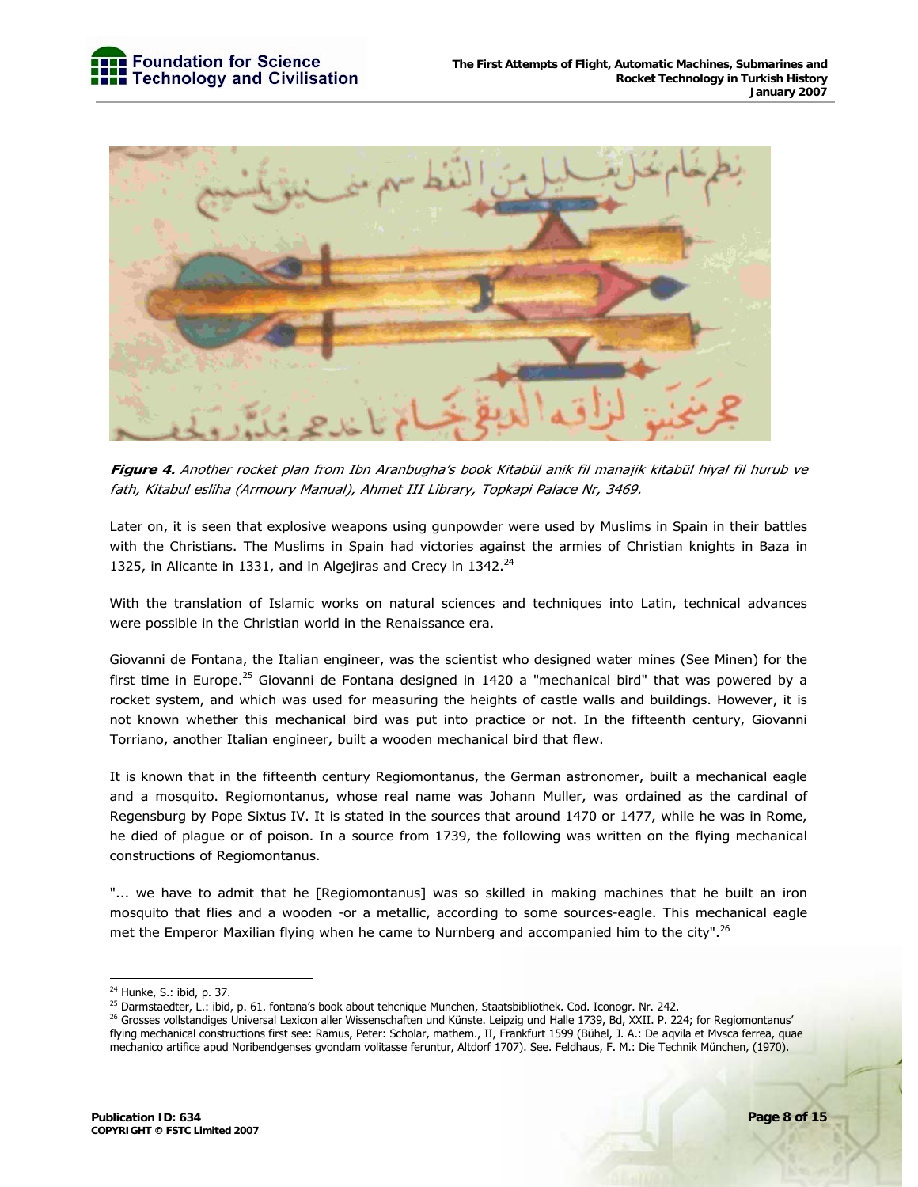

**Figure 4.** Another rocket plan from Ibn Aranbugha's book Kitabül anik fil manajik kitabül hiyal fil hurub ve fath, Kitabul esliha (Armoury Manual), Ahmet III Library, Topkapi Palace Nr, 3469.

Later on, it is seen that explosive weapons using gunpowder were used by Muslims in Spain in their battles with the Christians. The Muslims in Spain had victories against the armies of Christian knights in Baza in 1325, in Alicante in 1331, and in Algejiras and Crecy in  $1342.^{24}$ 

With the translation of Islamic works on natural sciences and techniques into Latin, technical advances were possible in the Christian world in the Renaissance era.

Giovanni de Fontana, the Italian engineer, was the scientist who designed water mines (See Minen) for the first time in Europe.<sup>25</sup> Giovanni de Fontana designed in 1420 a "mechanical bird" that was powered by a rocket system, and which was used for measuring the heights of castle walls and buildings. However, it is not known whether this mechanical bird was put into practice or not. In the fifteenth century, Giovanni Torriano, another Italian engineer, built a wooden mechanical bird that flew.

It is known that in the fifteenth century Regiomontanus, the German astronomer, built a mechanical eagle and a mosquito. Regiomontanus, whose real name was Johann Muller, was ordained as the cardinal of Regensburg by Pope Sixtus IV. It is stated in the sources that around 1470 or 1477, while he was in Rome, he died of plague or of poison. In a source from 1739, the following was written on the flying mechanical constructions of Regiomontanus.

"... we have to admit that he [Regiomontanus] was so skilled in making machines that he built an iron mosquito that flies and a wooden -or a metallic, according to some sources-eagle. This mechanical eagle met the Emperor Maxilian flying when he came to Nurnberg and accompanied him to the city".<sup>26</sup>

<sup>&</sup>lt;sup>24</sup> Hunke, S.: ibid, p. 37.

<sup>&</sup>lt;sup>25</sup> Darmstaedter, L.: ibid, p. 61. fontana's book about tehcnique Munchen, Staatsbibliothek. Cod. Iconogr. Nr. 242.

<sup>&</sup>lt;sup>26</sup> Grosses vollstandiges Universal Lexicon aller Wissenschaften und Künste. Leipzig und Halle 1739, Bd, XXII. P. 224; for Regiomontanus' flying mechanical constructions first see: Ramus, Peter: Scholar, mathem., II, Frankfurt 1599 (Bühel, J. A.: De aqvila et Mvsca ferrea, quae mechanico artifice apud Noribendgenses gvondam volitasse feruntur, Altdorf 1707). See. Feldhaus, F. M.: Die Technik München, (1970).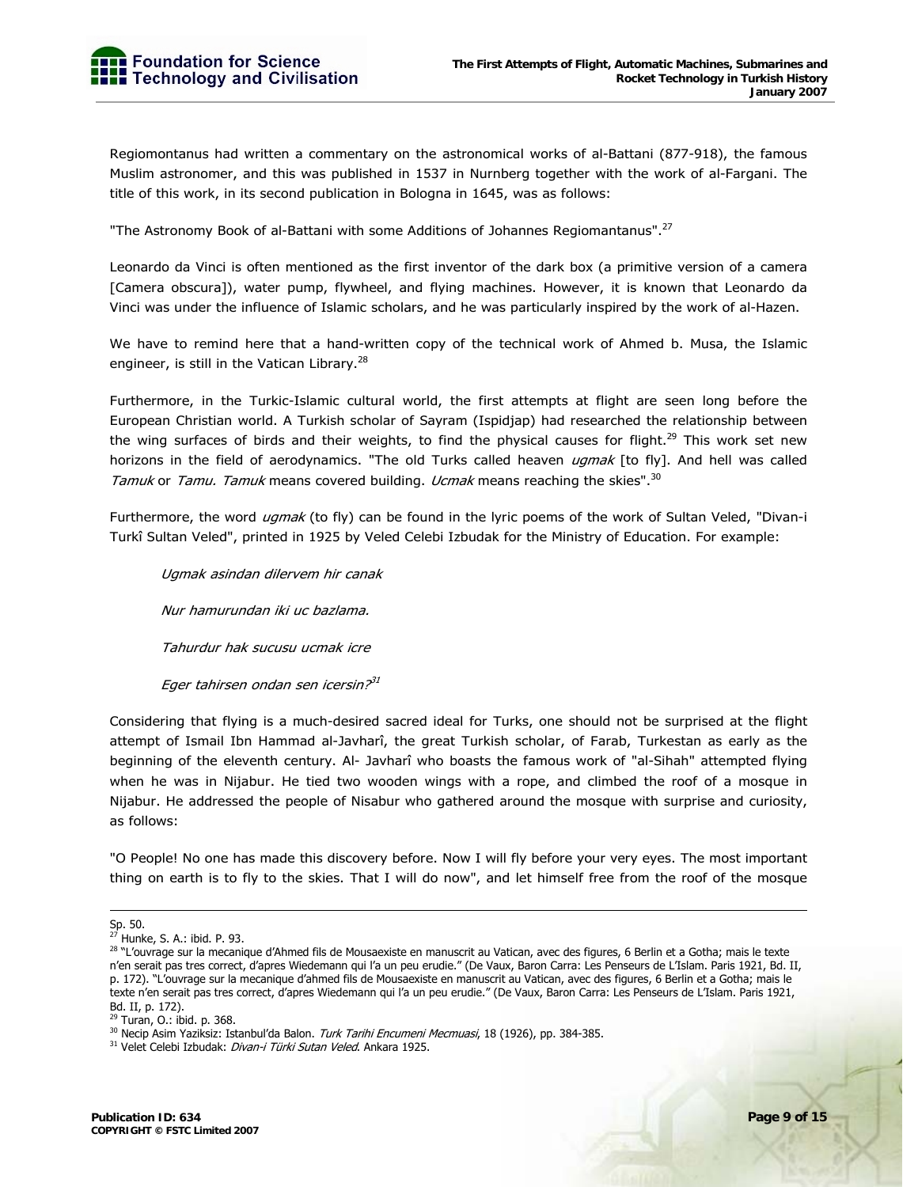Regiomontanus had written a commentary on the astronomical works of al-Battani (877-918), the famous Muslim astronomer, and this was published in 1537 in Nurnberg together with the work of al-Fargani. The title of this work, in its second publication in Bologna in 1645, was as follows:

"The Astronomy Book of al-Battani with some Additions of Johannes Regiomantanus".<sup>27</sup>

Leonardo da Vinci is often mentioned as the first inventor of the dark box (a primitive version of a camera [Camera obscura]), water pump, flywheel, and flying machines. However, it is known that Leonardo da Vinci was under the influence of Islamic scholars, and he was particularly inspired by the work of al-Hazen.

We have to remind here that a hand-written copy of the technical work of Ahmed b. Musa, the Islamic engineer, is still in the Vatican Library. $^{28}$ 

Furthermore, in the Turkic-Islamic cultural world, the first attempts at flight are seen long before the European Christian world. A Turkish scholar of Sayram (Ispidjap) had researched the relationship between the wing surfaces of birds and their weights, to find the physical causes for flight.<sup>29</sup> This work set new horizons in the field of aerodynamics. "The old Turks called heaven ugmak [to fly]. And hell was called Tamuk or Tamu. Tamuk means covered building. Ucmak means reaching the skies".<sup>30</sup>

Furthermore, the word *ugmak* (to fly) can be found in the lyric poems of the work of Sultan Veled, "Divan-i Turkî Sultan Veled", printed in 1925 by Veled Celebi Izbudak for the Ministry of Education. For example:

Ugmak asindan dilervem hir canak Nur hamurundan iki uc bazlama. Tahurdur hak sucusu ucmak icre Eger tahirsen ondan sen icersin.<sup>31</sup>

Considering that flying is a much-desired sacred ideal for Turks, one should not be surprised at the flight attempt of Ismail Ibn Hammad al-Javharî, the great Turkish scholar, of Farab, Turkestan as early as the beginning of the eleventh century. Al- Javharî who boasts the famous work of "al-Sihah" attempted flying when he was in Nijabur. He tied two wooden wings with a rope, and climbed the roof of a mosque in Nijabur. He addressed the people of Nisabur who gathered around the mosque with surprise and curiosity, as follows:

"O People! No one has made this discovery before. Now I will fly before your very eyes. The most important thing on earth is to fly to the skies. That I will do now", and let himself free from the roof of the mosque

<sup>————&</sup>lt;br>Sp. 50.

<sup>27</sup> Hunke, S. A.: ibid. P. 93.

<sup>28 &</sup>quot;L'ouvrage sur la mecanique d'Ahmed fils de Mousaexiste en manuscrit au Vatican, avec des figures, 6 Berlin et a Gotha; mais le texte n'en serait pas tres correct, d'apres Wiedemann qui l'a un peu erudie." (De Vaux, Baron Carra: Les Penseurs de L'Islam. Paris 1921, Bd. II, p. 172). "L'ouvrage sur la mecanique d'ahmed fils de Mousaexiste en manuscrit au Vatican, avec des figures, 6 Berlin et a Gotha; mais le texte n'en serait pas tres correct, d'apres Wiedemann qui l'a un peu erudie." (De Vaux, Baron Carra: Les Penseurs de L'Islam. Paris 1921, Bd. II, p. 172).

<sup>29</sup> Turan, O.: ibid. p. 368.

<sup>&</sup>lt;sup>30</sup> Necip Asim Yaziksiz: Istanbul'da Balon. *Turk Tarihi Encumeni Mecmuasi*, 18 (1926), pp. 384-385.<br><sup>31</sup> Velet Celebi Izbudak: *Divan-i Türki Sutan Veled*. Ankara 1925.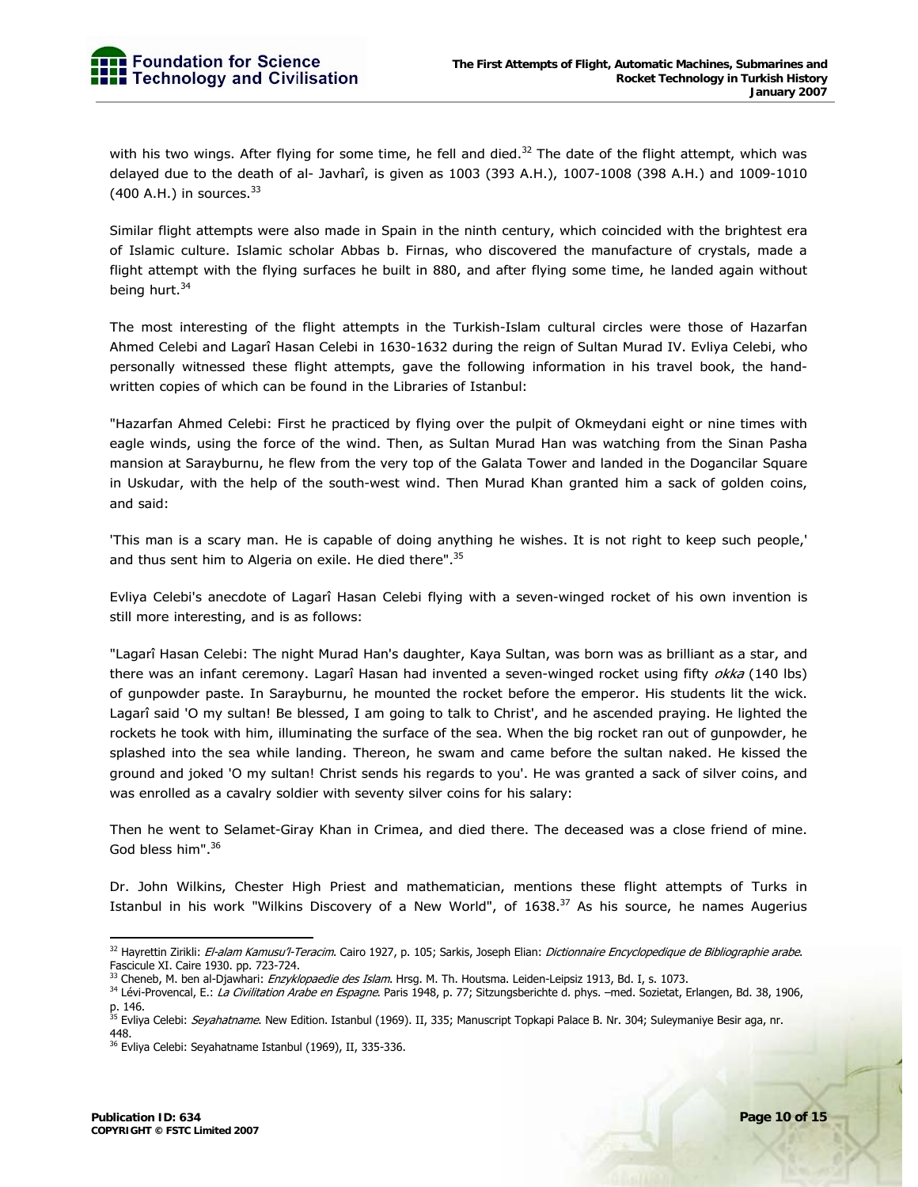with his two wings. After flying for some time, he fell and died. $32$  The date of the flight attempt, which was delayed due to the death of al- Javharî, is given as 1003 (393 A.H.), 1007-1008 (398 A.H.) and 1009-1010  $(400 A.H.)$  in sources.  $33$ 

Similar flight attempts were also made in Spain in the ninth century, which coincided with the brightest era of Islamic culture. Islamic scholar Abbas b. Firnas, who discovered the manufacture of crystals, made a flight attempt with the flying surfaces he built in 880, and after flying some time, he landed again without being hurt.<sup>34</sup>

The most interesting of the flight attempts in the Turkish-Islam cultural circles were those of Hazarfan Ahmed Celebi and Lagarî Hasan Celebi in 1630-1632 during the reign of Sultan Murad IV. Evliya Celebi, who personally witnessed these flight attempts, gave the following information in his travel book, the handwritten copies of which can be found in the Libraries of Istanbul:

"Hazarfan Ahmed Celebi: First he practiced by flying over the pulpit of Okmeydani eight or nine times with eagle winds, using the force of the wind. Then, as Sultan Murad Han was watching from the Sinan Pasha mansion at Sarayburnu, he flew from the very top of the Galata Tower and landed in the Dogancilar Square in Uskudar, with the help of the south-west wind. Then Murad Khan granted him a sack of golden coins, and said:

'This man is a scary man. He is capable of doing anything he wishes. It is not right to keep such people,' and thus sent him to Algeria on exile. He died there".<sup>35</sup>

Evliya Celebi's anecdote of Lagarî Hasan Celebi flying with a seven-winged rocket of his own invention is still more interesting, and is as follows:

"Lagarî Hasan Celebi: The night Murad Han's daughter, Kaya Sultan, was born was as brilliant as a star, and there was an infant ceremony. Lagarî Hasan had invented a seven-winged rocket using fifty okka (140 lbs) of gunpowder paste. In Sarayburnu, he mounted the rocket before the emperor. His students lit the wick. Lagarî said 'O my sultan! Be blessed, I am going to talk to Christ', and he ascended praying. He lighted the rockets he took with him, illuminating the surface of the sea. When the big rocket ran out of gunpowder, he splashed into the sea while landing. Thereon, he swam and came before the sultan naked. He kissed the ground and joked 'O my sultan! Christ sends his regards to you'. He was granted a sack of silver coins, and was enrolled as a cavalry soldier with seventy silver coins for his salary:

Then he went to Selamet-Giray Khan in Crimea, and died there. The deceased was a close friend of mine. God bless him".<sup>36</sup>

Dr. John Wilkins, Chester High Priest and mathematician, mentions these flight attempts of Turks in Istanbul in his work "Wilkins Discovery of a New World", of 1638.<sup>37</sup> As his source, he names Augerius

<sup>&</sup>lt;sup>32</sup> Hayrettin Zirikli: *El-alam Kamusu'l-Teracim*. Cairo 1927, p. 105; Sarkis, Joseph Elian: *Dictionnaire Encyclopedique de Bibliographie arabe*. Fascicule XI. Caire 1930. pp. 723-724.<br><sup>33</sup> Cheneb, M. ben al-Djawhari: *Enzyklopaedie des Islam*. Hrsg. M. Th. Houtsma. Leiden-Leipsiz 1913, Bd. I, s. 1073.

<sup>&</sup>lt;sup>34</sup> Lévi-Provencal, E.: La Civilitation Arabe en Espagne. Paris 1948, p. 77; Sitzungsberichte d. phys. -med. Sozietat, Erlangen, Bd. 38, 1906, p. 146.

<sup>&</sup>lt;sup>35</sup> Evliya Celebi: *Seyahatname*. New Edition. Istanbul (1969). II, 335; Manuscript Topkapi Palace B. Nr. 304; Suleymaniye Besir aga, nr. 448.

<sup>&</sup>lt;sup>36</sup> Evliya Celebi: Seyahatname Istanbul (1969), II, 335-336.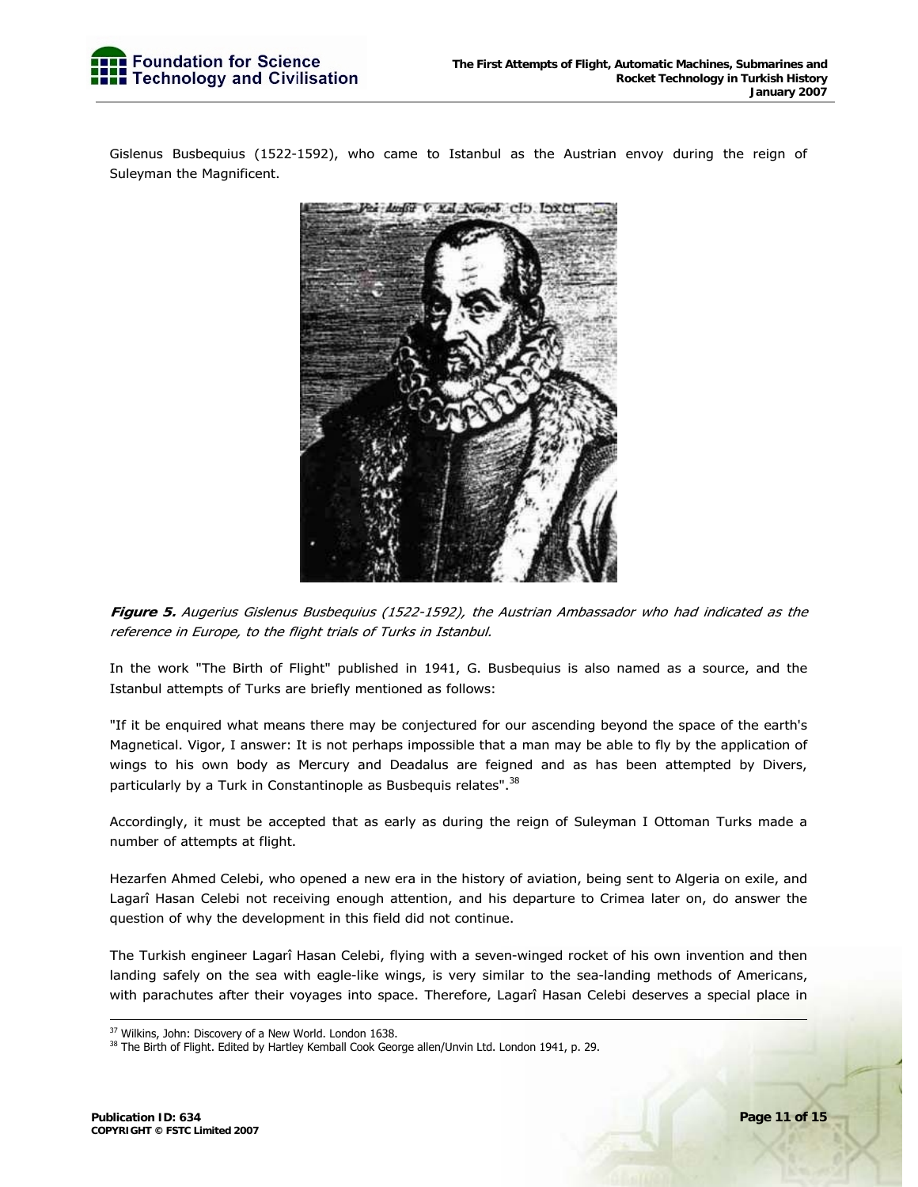Gislenus Busbequius (1522-1592), who came to Istanbul as the Austrian envoy during the reign of Suleyman the Magnificent.



**Figure 5.** Augerius Gislenus Busbequius (1522-1592), the Austrian Ambassador who had indicated as the reference in Europe, to the flight trials of Turks in Istanbul.

In the work "The Birth of Flight" published in 1941, G. Busbequius is also named as a source, and the Istanbul attempts of Turks are briefly mentioned as follows:

"If it be enquired what means there may be conjectured for our ascending beyond the space of the earth's Magnetical. Vigor, I answer: It is not perhaps impossible that a man may be able to fly by the application of wings to his own body as Mercury and Deadalus are feigned and as has been attempted by Divers, particularly by a Turk in Constantinople as Busbequis relates".<sup>38</sup>

Accordingly, it must be accepted that as early as during the reign of Suleyman I Ottoman Turks made a number of attempts at flight.

Hezarfen Ahmed Celebi, who opened a new era in the history of aviation, being sent to Algeria on exile, and Lagarî Hasan Celebi not receiving enough attention, and his departure to Crimea later on, do answer the question of why the development in this field did not continue.

The Turkish engineer Lagarî Hasan Celebi, flying with a seven-winged rocket of his own invention and then landing safely on the sea with eagle-like wings, is very similar to the sea-landing methods of Americans, with parachutes after their voyages into space. Therefore, Lagarî Hasan Celebi deserves a special place in

<sup>&</sup>lt;sup>37</sup> Wilkins, John: Discovery of a New World. London 1638.

<sup>&</sup>lt;sup>38</sup> The Birth of Flight. Edited by Hartley Kemball Cook George allen/Unvin Ltd. London 1941, p. 29.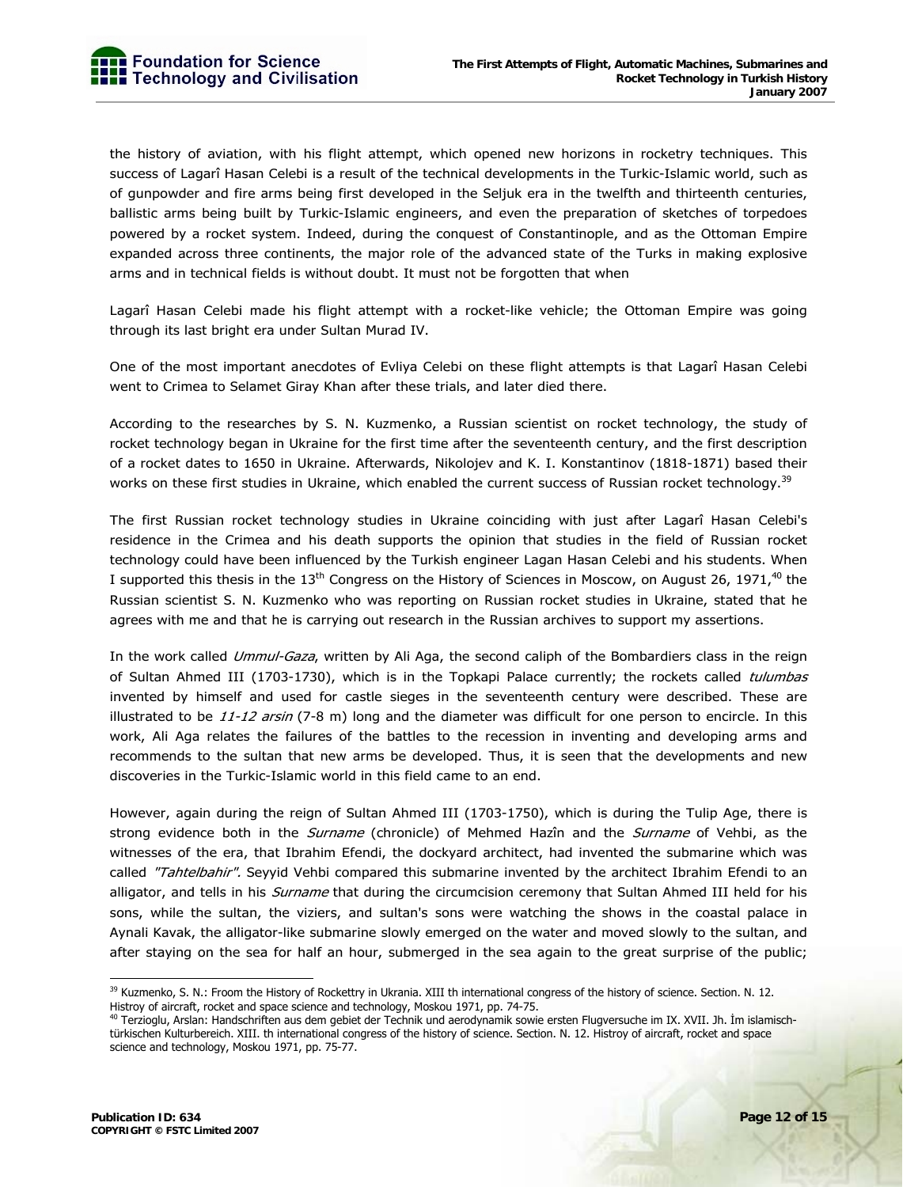the history of aviation, with his flight attempt, which opened new horizons in rocketry techniques. This success of Lagarî Hasan Celebi is a result of the technical developments in the Turkic-Islamic world, such as of gunpowder and fire arms being first developed in the Seljuk era in the twelfth and thirteenth centuries, ballistic arms being built by Turkic-Islamic engineers, and even the preparation of sketches of torpedoes powered by a rocket system. Indeed, during the conquest of Constantinople, and as the Ottoman Empire expanded across three continents, the major role of the advanced state of the Turks in making explosive arms and in technical fields is without doubt. It must not be forgotten that when

Lagarî Hasan Celebi made his flight attempt with a rocket-like vehicle; the Ottoman Empire was going through its last bright era under Sultan Murad IV.

One of the most important anecdotes of Evliya Celebi on these flight attempts is that Lagarî Hasan Celebi went to Crimea to Selamet Giray Khan after these trials, and later died there.

According to the researches by S. N. Kuzmenko, a Russian scientist on rocket technology, the study of rocket technology began in Ukraine for the first time after the seventeenth century, and the first description of a rocket dates to 1650 in Ukraine. Afterwards, Nikolojev and K. I. Konstantinov (1818-1871) based their works on these first studies in Ukraine, which enabled the current success of Russian rocket technology.<sup>39</sup>

The first Russian rocket technology studies in Ukraine coinciding with just after Lagarî Hasan Celebi's residence in the Crimea and his death supports the opinion that studies in the field of Russian rocket technology could have been influenced by the Turkish engineer Lagan Hasan Celebi and his students. When I supported this thesis in the  $13<sup>th</sup>$  Congress on the History of Sciences in Moscow, on August 26, 1971,<sup>40</sup> the Russian scientist S. N. Kuzmenko who was reporting on Russian rocket studies in Ukraine, stated that he agrees with me and that he is carrying out research in the Russian archives to support my assertions.

In the work called Ummul-Gaza, written by Ali Aga, the second caliph of the Bombardiers class in the reign of Sultan Ahmed III (1703-1730), which is in the Topkapi Palace currently; the rockets called tulumbas invented by himself and used for castle sieges in the seventeenth century were described. These are illustrated to be  $11$ -12 arsin (7-8 m) long and the diameter was difficult for one person to encircle. In this work, Ali Aga relates the failures of the battles to the recession in inventing and developing arms and recommends to the sultan that new arms be developed. Thus, it is seen that the developments and new discoveries in the Turkic-Islamic world in this field came to an end.

However, again during the reign of Sultan Ahmed III (1703-1750), which is during the Tulip Age, there is strong evidence both in the Surname (chronicle) of Mehmed Hazîn and the Surname of Vehbi, as the witnesses of the era, that Ibrahim Efendi, the dockyard architect, had invented the submarine which was called "Tahtelbahir". Seyyid Vehbi compared this submarine invented by the architect Ibrahim Efendi to an alligator, and tells in his *Surname* that during the circumcision ceremony that Sultan Ahmed III held for his sons, while the sultan, the viziers, and sultan's sons were watching the shows in the coastal palace in Aynali Kavak, the alligator-like submarine slowly emerged on the water and moved slowly to the sultan, and after staying on the sea for half an hour, submerged in the sea again to the great surprise of the public;

<sup>-</sup><sup>39</sup> Kuzmenko, S. N.: Froom the History of Rockettry in Ukrania. XIII th international congress of the history of science. Section. N. 12. Histroy of aircraft, rocket and space science and technology, Moskou 1971, pp. 74-75.

<sup>40</sup> Terzioglu, Arslan: Handschriften aus dem gebiet der Technik und aerodynamik sowie ersten Flugversuche im IX. XVII. Jh. İm islamischtürkischen Kulturbereich. XIII. th international congress of the history of science. Section. N. 12. Histroy of aircraft, rocket and space science and technology, Moskou 1971, pp. 75-77.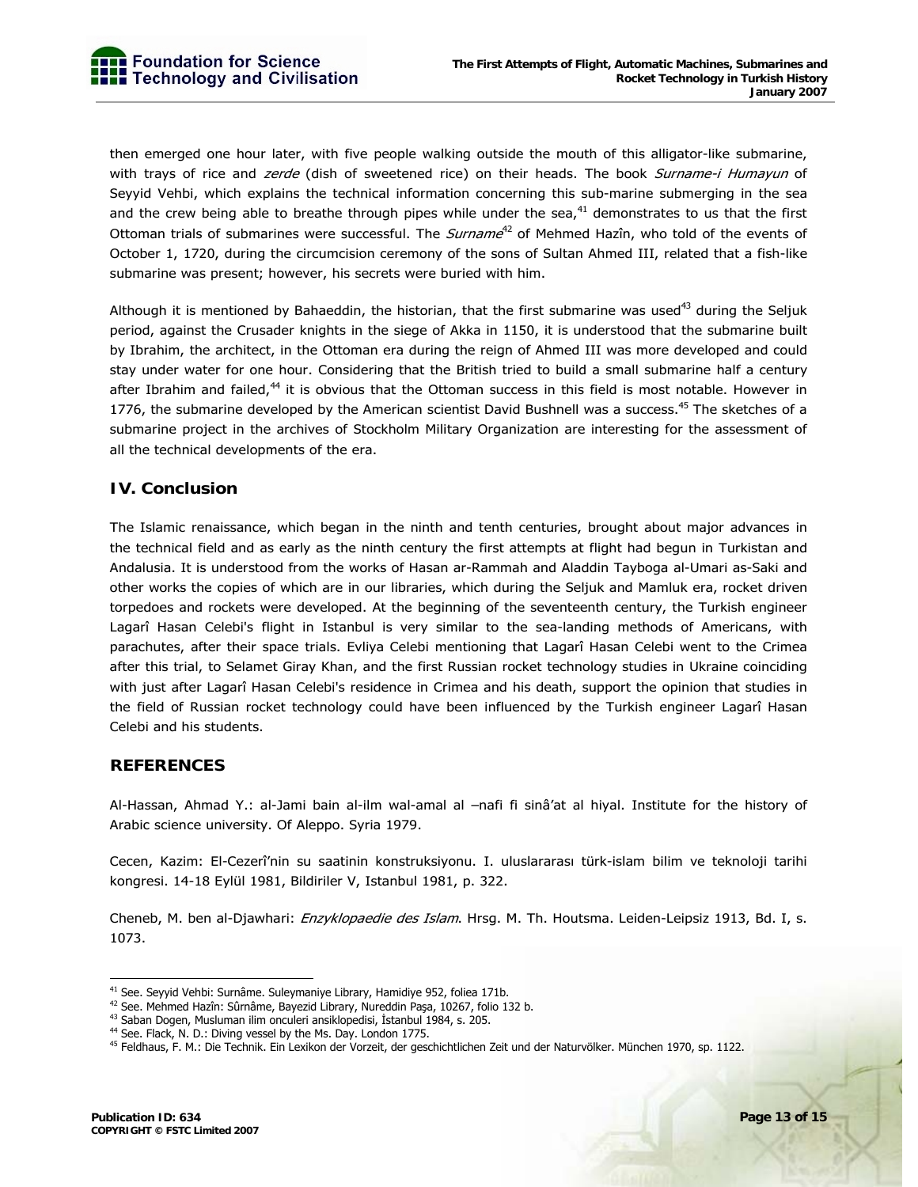then emerged one hour later, with five people walking outside the mouth of this alligator-like submarine, with trays of rice and *zerde* (dish of sweetened rice) on their heads. The book Surname-i Humayun of Seyyid Vehbi, which explains the technical information concerning this sub-marine submerging in the sea and the crew being able to breathe through pipes while under the sea, $41$  demonstrates to us that the first Ottoman trials of submarines were successful. The *Surname*<sup>42</sup> of Mehmed Hazîn, who told of the events of October 1, 1720, during the circumcision ceremony of the sons of Sultan Ahmed III, related that a fish-like submarine was present; however, his secrets were buried with him.

Although it is mentioned by Bahaeddin, the historian, that the first submarine was used<sup>43</sup> during the Seljuk period, against the Crusader knights in the siege of Akka in 1150, it is understood that the submarine built by Ibrahim, the architect, in the Ottoman era during the reign of Ahmed III was more developed and could stay under water for one hour. Considering that the British tried to build a small submarine half a century after Ibrahim and failed,<sup>44</sup> it is obvious that the Ottoman success in this field is most notable. However in 1776, the submarine developed by the American scientist David Bushnell was a success.<sup>45</sup> The sketches of a submarine project in the archives of Stockholm Military Organization are interesting for the assessment of all the technical developments of the era.

#### **IV. Conclusion**

The Islamic renaissance, which began in the ninth and tenth centuries, brought about major advances in the technical field and as early as the ninth century the first attempts at flight had begun in Turkistan and Andalusia. It is understood from the works of Hasan ar-Rammah and Aladdin Tayboga al-Umari as-Saki and other works the copies of which are in our libraries, which during the Seljuk and Mamluk era, rocket driven torpedoes and rockets were developed. At the beginning of the seventeenth century, the Turkish engineer Lagarî Hasan Celebi's flight in Istanbul is very similar to the sea-landing methods of Americans, with parachutes, after their space trials. Evliya Celebi mentioning that Lagarî Hasan Celebi went to the Crimea after this trial, to Selamet Giray Khan, and the first Russian rocket technology studies in Ukraine coinciding with just after Lagarî Hasan Celebi's residence in Crimea and his death, support the opinion that studies in the field of Russian rocket technology could have been influenced by the Turkish engineer Lagarî Hasan Celebi and his students.

#### **REFERENCES**

Al-Hassan, Ahmad Y.: al-Jami bain al-ilm wal-amal al –nafi fi sinâ'at al hiyal. Institute for the history of Arabic science university. Of Aleppo. Syria 1979.

Cecen, Kazim: El-Cezerî'nin su saatinin konstruksiyonu. I. uluslararası türk-islam bilim ve teknoloji tarihi kongresi. 14-18 Eylül 1981, Bildiriler V, Istanbul 1981, p. 322.

Cheneb, M. ben al-Djawhari: Enzyklopaedie des Islam. Hrsg. M. Th. Houtsma. Leiden-Leipsiz 1913, Bd. I, s. 1073.

<sup>-</sup>

<sup>&</sup>lt;sup>41</sup> See. Seyyid Vehbi: Surnâme. Suleymaniye Library, Hamidiye 952, foliea 171b.<br><sup>42</sup> See. Mehmed Hazîn: Sûrnâme, Bayezid Library, Nureddin Paşa, 10267, folio 132 b.

<sup>&</sup>lt;sup>43</sup> Saban Dogen, Musluman ilim onculeri ansiklopedisi, İstanbul 1984, s. 205.<br><sup>44</sup> See. Flack, N. D.: Diving vessel by the Ms. Day. London 1775.

<sup>&</sup>lt;sup>45</sup> Feldhaus, F. M.: Die Technik. Ein Lexikon der Vorzeit, der geschichtlichen Zeit und der Naturvölker. München 1970, sp. 1122.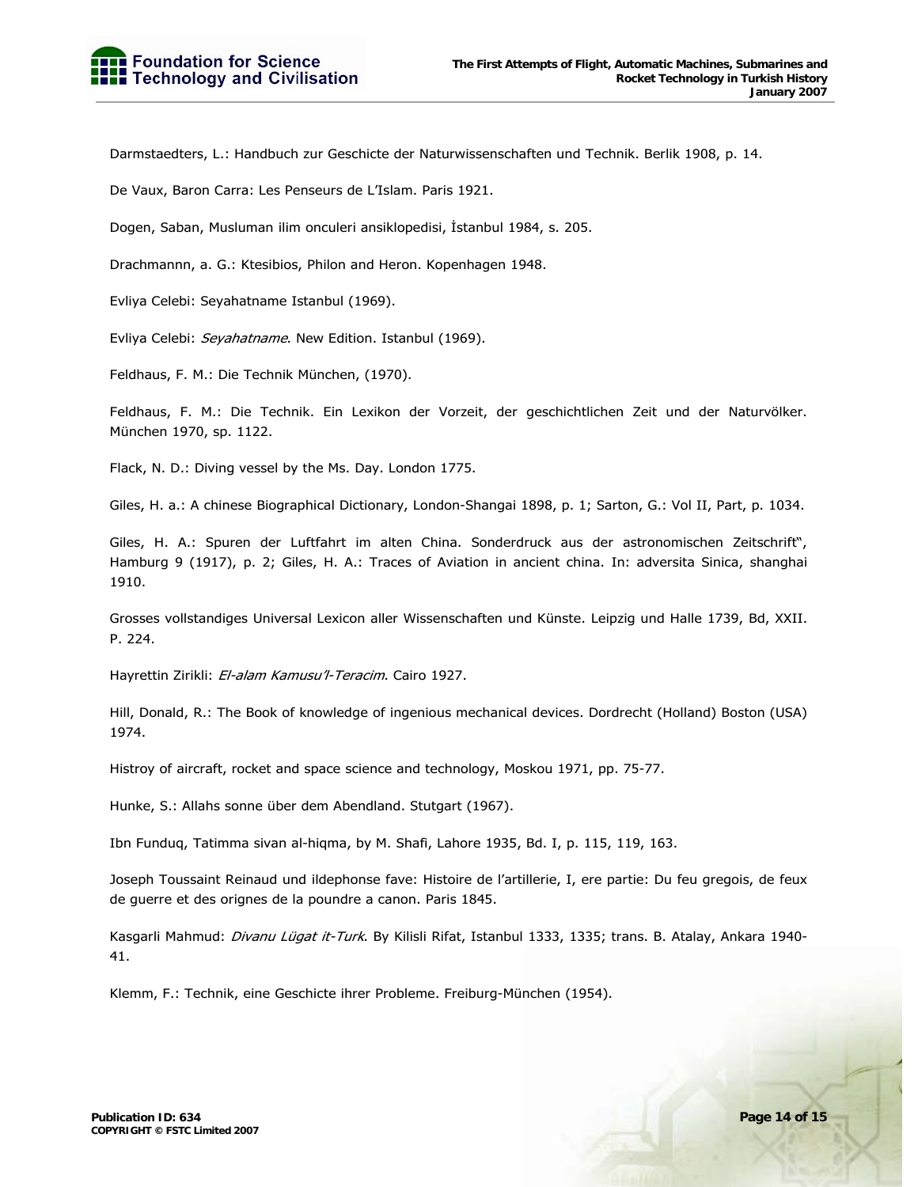Darmstaedters, L.: Handbuch zur Geschicte der Naturwissenschaften und Technik. Berlik 1908, p. 14.

De Vaux, Baron Carra: Les Penseurs de L'Islam. Paris 1921.

Dogen, Saban, Musluman ilim onculeri ansiklopedisi, İstanbul 1984, s. 205.

Drachmannn, a. G.: Ktesibios, Philon and Heron. Kopenhagen 1948.

Evliya Celebi: Seyahatname Istanbul (1969).

Evliya Celebi: Seyahatname. New Edition. Istanbul (1969).

Feldhaus, F. M.: Die Technik München, (1970).

Feldhaus, F. M.: Die Technik. Ein Lexikon der Vorzeit, der geschichtlichen Zeit und der Naturvölker. München 1970, sp. 1122.

Flack, N. D.: Diving vessel by the Ms. Day. London 1775.

Giles, H. a.: A chinese Biographical Dictionary, London-Shangai 1898, p. 1; Sarton, G.: Vol II, Part, p. 1034.

Giles, H. A.: Spuren der Luftfahrt im alten China. Sonderdruck aus der astronomischen Zeitschrift", Hamburg 9 (1917), p. 2; Giles, H. A.: Traces of Aviation in ancient china. In: adversita Sinica, shanghai 1910.

Grosses vollstandiges Universal Lexicon aller Wissenschaften und Künste. Leipzig und Halle 1739, Bd, XXII. P. 224.

Hayrettin Zirikli: El-alam Kamusu'l-Teracim. Cairo 1927.

Hill, Donald, R.: The Book of knowledge of ingenious mechanical devices. Dordrecht (Holland) Boston (USA) 1974.

Histroy of aircraft, rocket and space science and technology, Moskou 1971, pp. 75-77.

Hunke, S.: Allahs sonne über dem Abendland. Stutgart (1967).

Ibn Funduq, Tatimma sivan al-hiqma, by M. Shafi, Lahore 1935, Bd. I, p. 115, 119, 163.

Joseph Toussaint Reinaud und ildephonse fave: Histoire de l'artillerie, I, ere partie: Du feu gregois, de feux de guerre et des orignes de la poundre a canon. Paris 1845.

Kasgarli Mahmud: Divanu Lügat it-Turk. By Kilisli Rifat, Istanbul 1333, 1335; trans. B. Atalay, Ankara 1940-41.

Klemm, F.: Technik, eine Geschicte ihrer Probleme. Freiburg-München (1954).